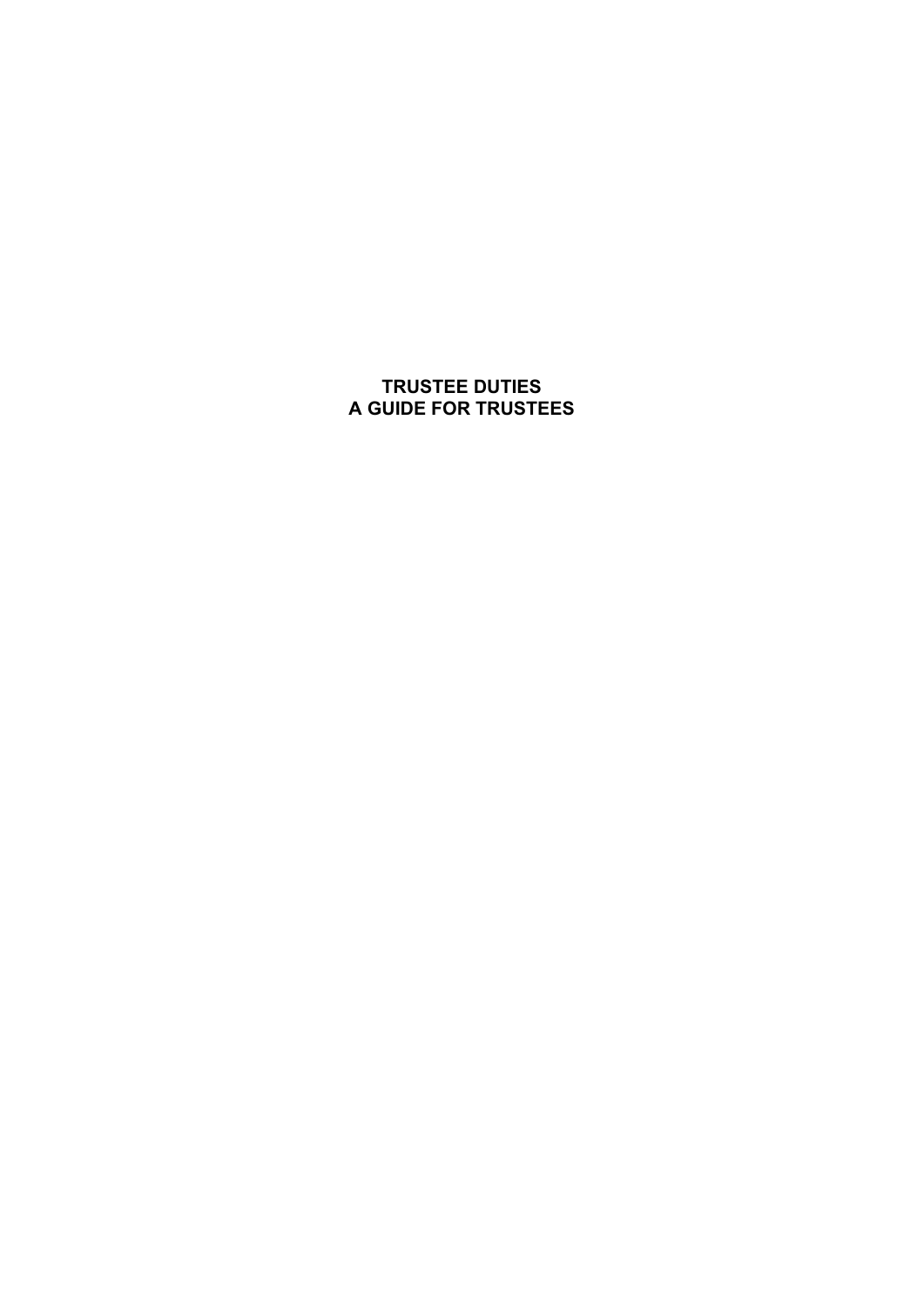# **TRUSTEE DUTIES A GUIDE FOR TRUSTEES**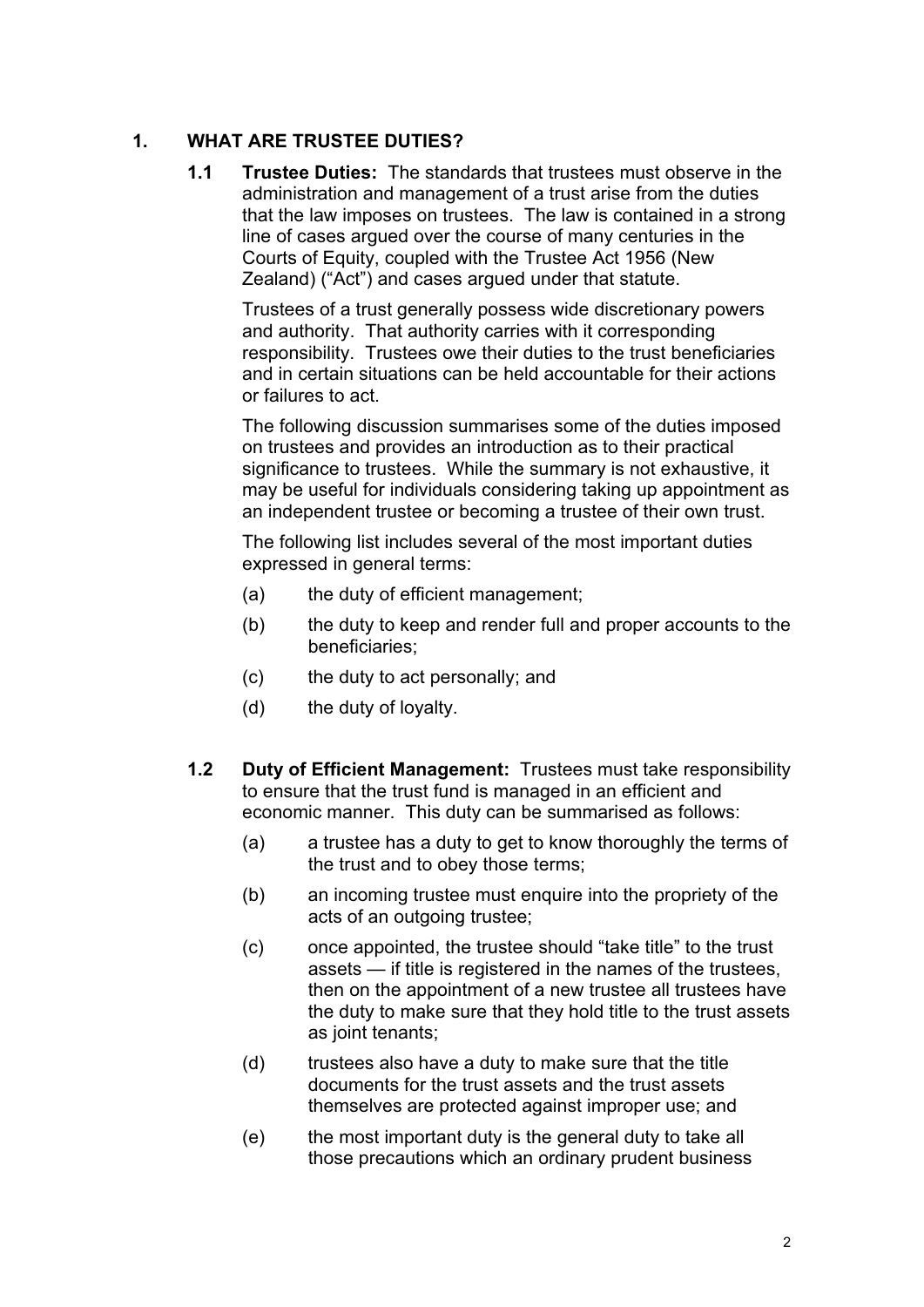## **1. WHAT ARE TRUSTEE DUTIES?**

**1.1 Trustee Duties:** The standards that trustees must observe in the administration and management of a trust arise from the duties that the law imposes on trustees. The law is contained in a strong line of cases argued over the course of many centuries in the Courts of Equity, coupled with the Trustee Act 1956 (New Zealand) ("Act") and cases argued under that statute.

Trustees of a trust generally possess wide discretionary powers and authority. That authority carries with it corresponding responsibility. Trustees owe their duties to the trust beneficiaries and in certain situations can be held accountable for their actions or failures to act.

The following discussion summarises some of the duties imposed on trustees and provides an introduction as to their practical significance to trustees. While the summary is not exhaustive, it may be useful for individuals considering taking up appointment as an independent trustee or becoming a trustee of their own trust.

The following list includes several of the most important duties expressed in general terms:

- (a) the duty of efficient management;
- (b) the duty to keep and render full and proper accounts to the beneficiaries;
- (c) the duty to act personally; and
- (d) the duty of loyalty.
- **1.2 Duty of Efficient Management:** Trustees must take responsibility to ensure that the trust fund is managed in an efficient and economic manner. This duty can be summarised as follows:
	- (a) a trustee has a duty to get to know thoroughly the terms of the trust and to obey those terms;
	- (b) an incoming trustee must enquire into the propriety of the acts of an outgoing trustee;
	- (c) once appointed, the trustee should "take title" to the trust assets — if title is registered in the names of the trustees, then on the appointment of a new trustee all trustees have the duty to make sure that they hold title to the trust assets as joint tenants;
	- (d) trustees also have a duty to make sure that the title documents for the trust assets and the trust assets themselves are protected against improper use; and
	- (e) the most important duty is the general duty to take all those precautions which an ordinary prudent business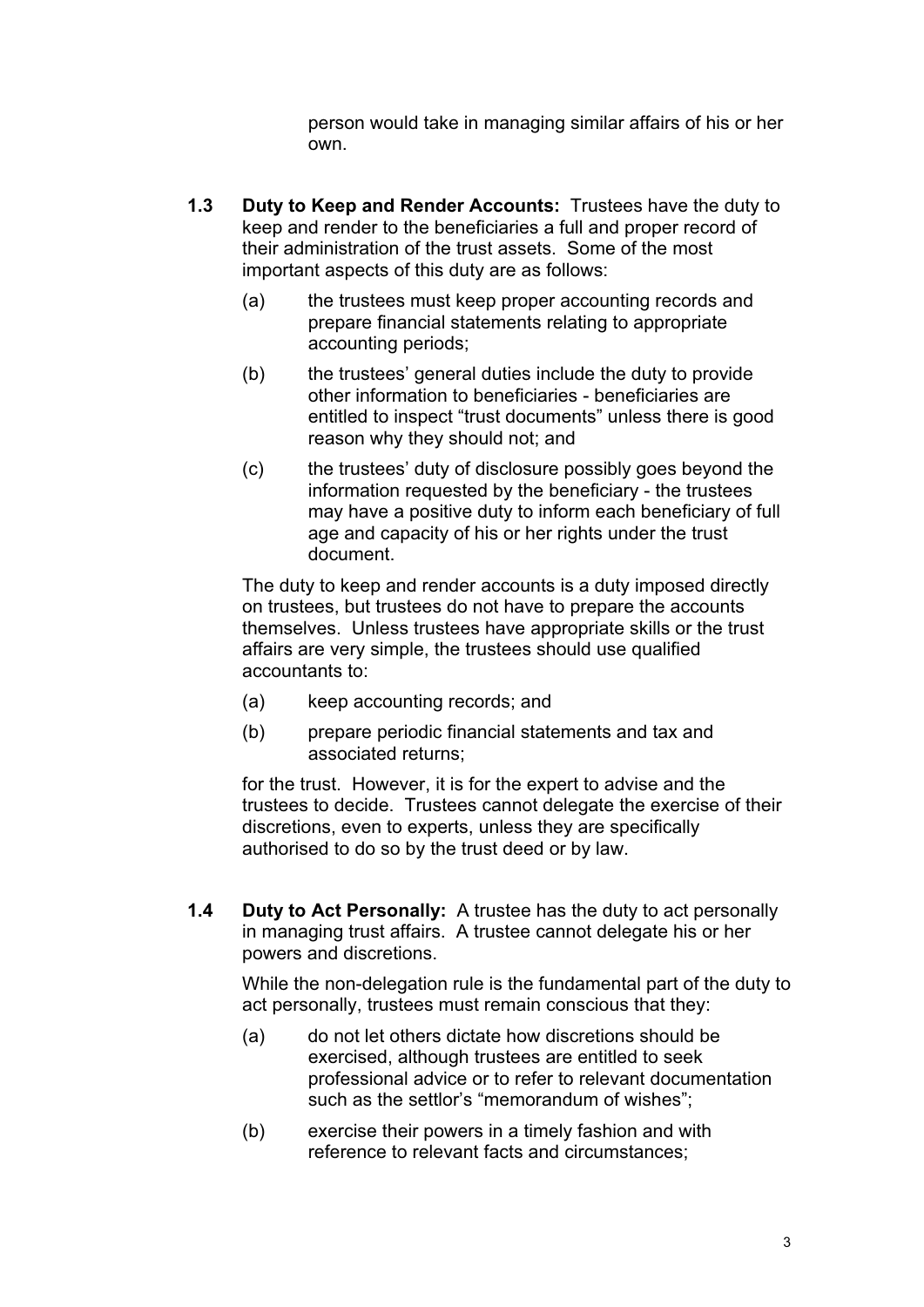person would take in managing similar affairs of his or her own.

- **1.3 Duty to Keep and Render Accounts:** Trustees have the duty to keep and render to the beneficiaries a full and proper record of their administration of the trust assets. Some of the most important aspects of this duty are as follows:
	- (a) the trustees must keep proper accounting records and prepare financial statements relating to appropriate accounting periods;
	- (b) the trustees' general duties include the duty to provide other information to beneficiaries - beneficiaries are entitled to inspect "trust documents" unless there is good reason why they should not; and
	- (c) the trustees' duty of disclosure possibly goes beyond the information requested by the beneficiary - the trustees may have a positive duty to inform each beneficiary of full age and capacity of his or her rights under the trust document.

The duty to keep and render accounts is a duty imposed directly on trustees, but trustees do not have to prepare the accounts themselves. Unless trustees have appropriate skills or the trust affairs are very simple, the trustees should use qualified accountants to:

- (a) keep accounting records; and
- (b) prepare periodic financial statements and tax and associated returns;

for the trust. However, it is for the expert to advise and the trustees to decide. Trustees cannot delegate the exercise of their discretions, even to experts, unless they are specifically authorised to do so by the trust deed or by law.

**1.4 Duty to Act Personally:** A trustee has the duty to act personally in managing trust affairs. A trustee cannot delegate his or her powers and discretions.

While the non-delegation rule is the fundamental part of the duty to act personally, trustees must remain conscious that they:

- (a) do not let others dictate how discretions should be exercised, although trustees are entitled to seek professional advice or to refer to relevant documentation such as the settlor's "memorandum of wishes";
- (b) exercise their powers in a timely fashion and with reference to relevant facts and circumstances;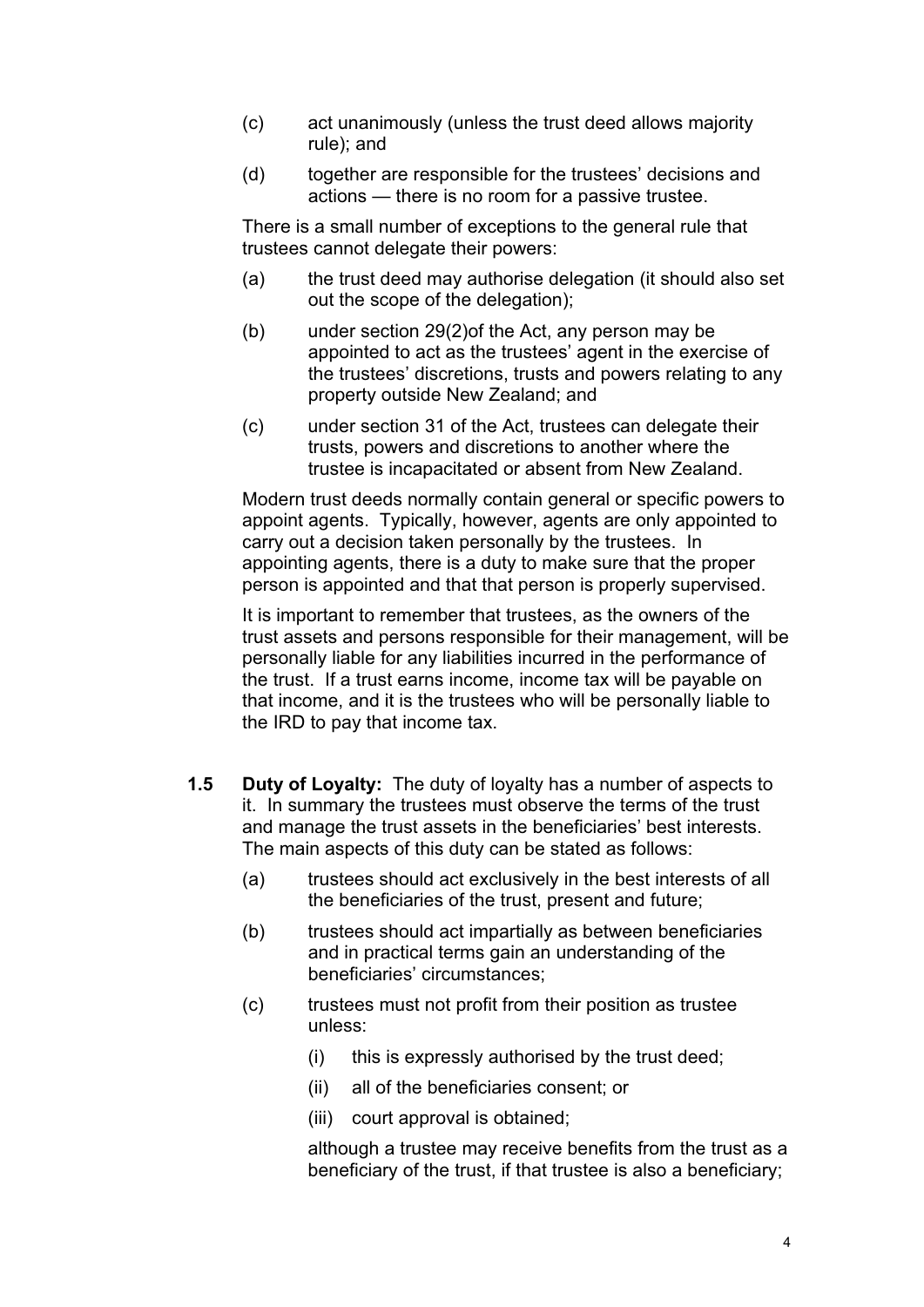- (c) act unanimously (unless the trust deed allows majority rule); and
- (d) together are responsible for the trustees' decisions and actions — there is no room for a passive trustee.

There is a small number of exceptions to the general rule that trustees cannot delegate their powers:

- (a) the trust deed may authorise delegation (it should also set out the scope of the delegation);
- (b) under section 29(2)of the Act, any person may be appointed to act as the trustees' agent in the exercise of the trustees' discretions, trusts and powers relating to any property outside New Zealand; and
- (c) under section 31 of the Act, trustees can delegate their trusts, powers and discretions to another where the trustee is incapacitated or absent from New Zealand.

Modern trust deeds normally contain general or specific powers to appoint agents. Typically, however, agents are only appointed to carry out a decision taken personally by the trustees. In appointing agents, there is a duty to make sure that the proper person is appointed and that that person is properly supervised.

It is important to remember that trustees, as the owners of the trust assets and persons responsible for their management, will be personally liable for any liabilities incurred in the performance of the trust. If a trust earns income, income tax will be payable on that income, and it is the trustees who will be personally liable to the IRD to pay that income tax.

- **1.5 Duty of Loyalty:** The duty of loyalty has a number of aspects to it. In summary the trustees must observe the terms of the trust and manage the trust assets in the beneficiaries' best interests. The main aspects of this duty can be stated as follows:
	- (a) trustees should act exclusively in the best interests of all the beneficiaries of the trust, present and future;
	- (b) trustees should act impartially as between beneficiaries and in practical terms gain an understanding of the beneficiaries' circumstances;
	- (c) trustees must not profit from their position as trustee unless:
		- (i) this is expressly authorised by the trust deed;
		- (ii) all of the beneficiaries consent; or
		- (iii) court approval is obtained;

although a trustee may receive benefits from the trust as a beneficiary of the trust, if that trustee is also a beneficiary;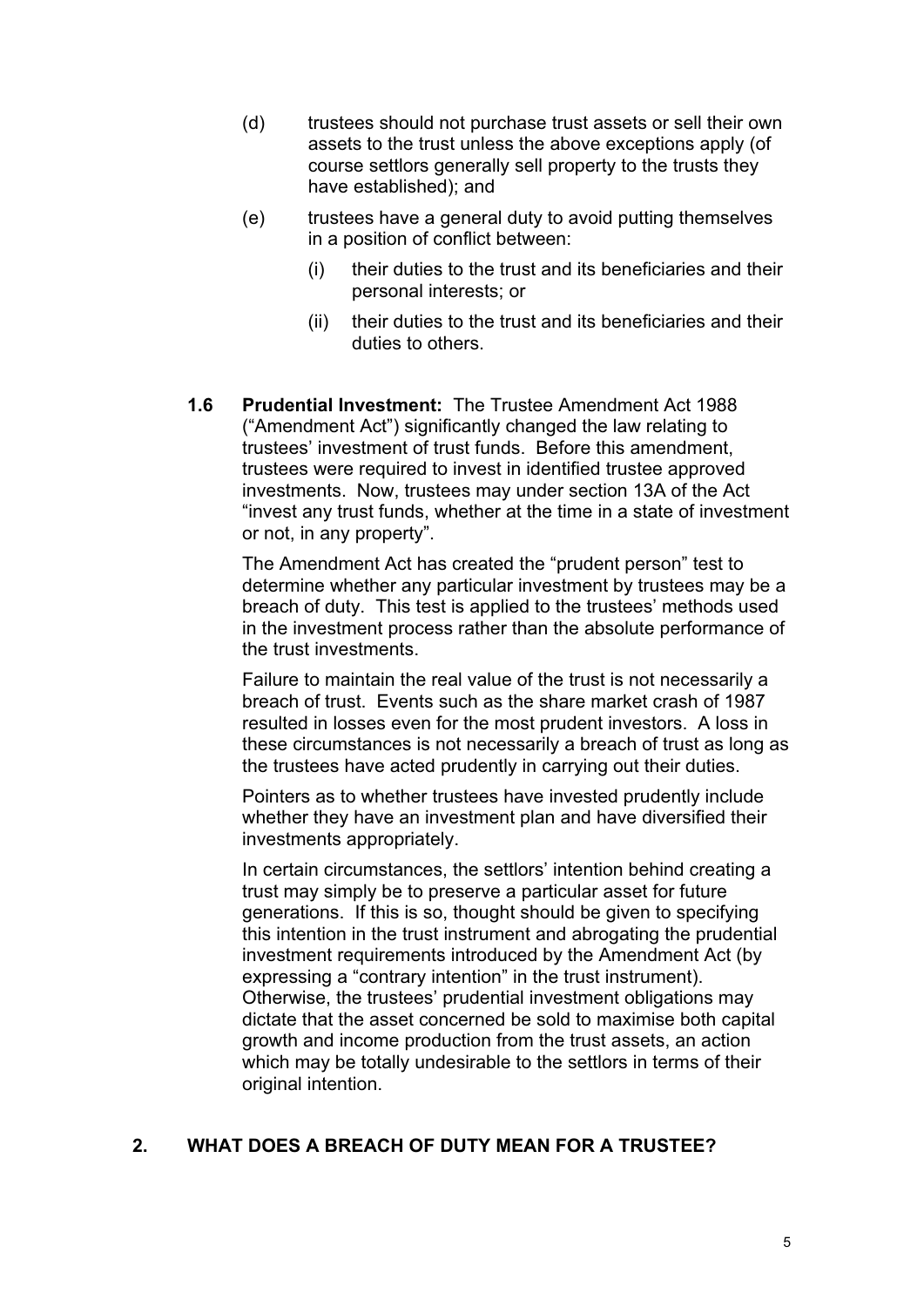- (d) trustees should not purchase trust assets or sell their own assets to the trust unless the above exceptions apply (of course settlors generally sell property to the trusts they have established); and
- (e) trustees have a general duty to avoid putting themselves in a position of conflict between:
	- (i) their duties to the trust and its beneficiaries and their personal interests; or
	- (ii) their duties to the trust and its beneficiaries and their duties to others.
- **1.6 Prudential Investment:** The Trustee Amendment Act 1988 ("Amendment Act") significantly changed the law relating to trustees' investment of trust funds. Before this amendment, trustees were required to invest in identified trustee approved investments. Now, trustees may under section 13A of the Act "invest any trust funds, whether at the time in a state of investment or not, in any property".

The Amendment Act has created the "prudent person" test to determine whether any particular investment by trustees may be a breach of duty. This test is applied to the trustees' methods used in the investment process rather than the absolute performance of the trust investments.

Failure to maintain the real value of the trust is not necessarily a breach of trust. Events such as the share market crash of 1987 resulted in losses even for the most prudent investors. A loss in these circumstances is not necessarily a breach of trust as long as the trustees have acted prudently in carrying out their duties.

Pointers as to whether trustees have invested prudently include whether they have an investment plan and have diversified their investments appropriately.

In certain circumstances, the settlors' intention behind creating a trust may simply be to preserve a particular asset for future generations. If this is so, thought should be given to specifying this intention in the trust instrument and abrogating the prudential investment requirements introduced by the Amendment Act (by expressing a "contrary intention" in the trust instrument). Otherwise, the trustees' prudential investment obligations may dictate that the asset concerned be sold to maximise both capital growth and income production from the trust assets, an action which may be totally undesirable to the settlors in terms of their original intention.

### **2. WHAT DOES A BREACH OF DUTY MEAN FOR A TRUSTEE?**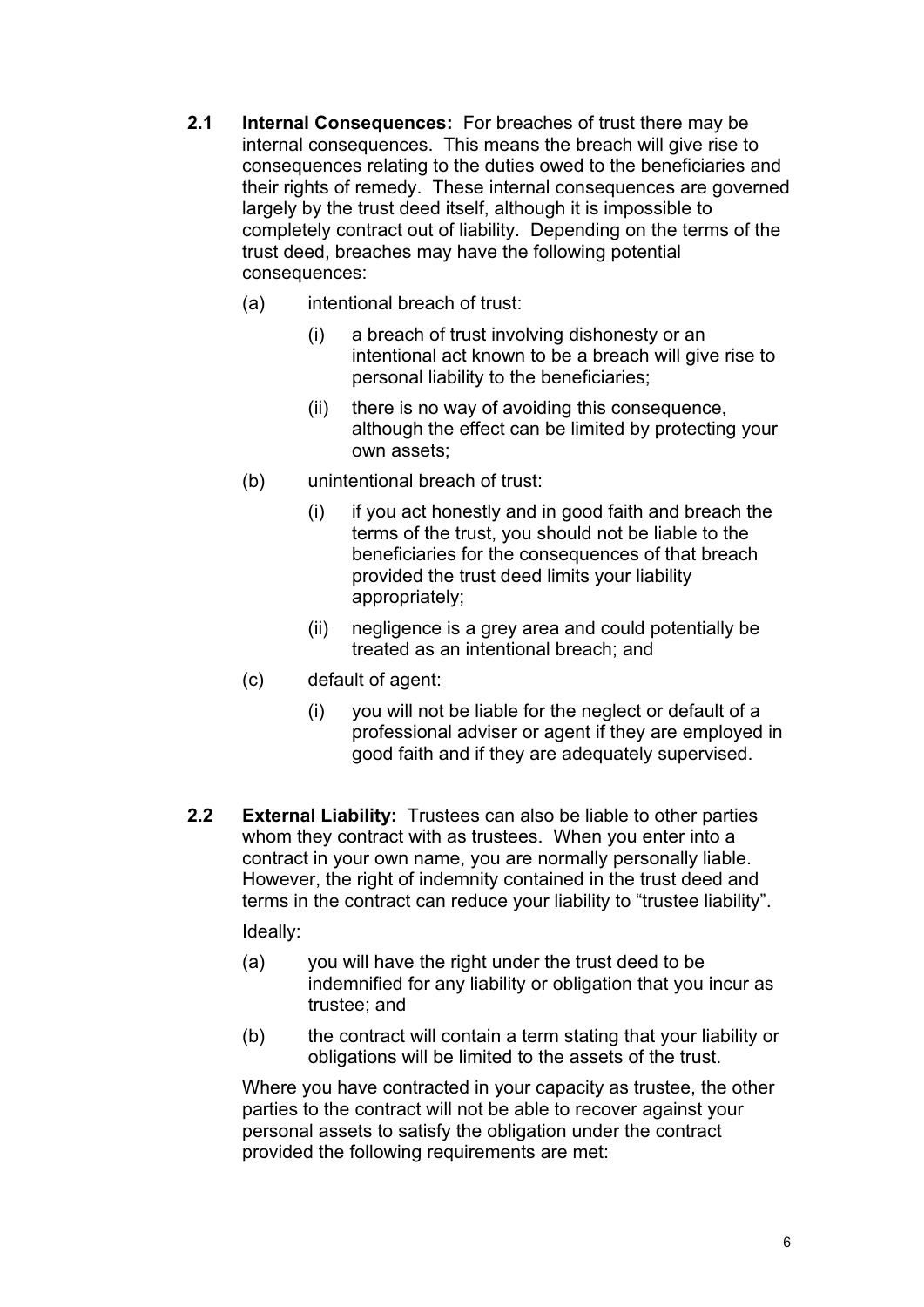- **2.1 Internal Consequences:** For breaches of trust there may be internal consequences. This means the breach will give rise to consequences relating to the duties owed to the beneficiaries and their rights of remedy. These internal consequences are governed largely by the trust deed itself, although it is impossible to completely contract out of liability. Depending on the terms of the trust deed, breaches may have the following potential consequences:
	- (a) intentional breach of trust:
		- (i) a breach of trust involving dishonesty or an intentional act known to be a breach will give rise to personal liability to the beneficiaries;
		- (ii) there is no way of avoiding this consequence, although the effect can be limited by protecting your own assets;
	- (b) unintentional breach of trust:
		- (i) if you act honestly and in good faith and breach the terms of the trust, you should not be liable to the beneficiaries for the consequences of that breach provided the trust deed limits your liability appropriately;
		- (ii) negligence is a grey area and could potentially be treated as an intentional breach; and
	- (c) default of agent:
		- (i) you will not be liable for the neglect or default of a professional adviser or agent if they are employed in good faith and if they are adequately supervised.
- **2.2 External Liability:** Trustees can also be liable to other parties whom they contract with as trustees. When you enter into a contract in your own name, you are normally personally liable. However, the right of indemnity contained in the trust deed and terms in the contract can reduce your liability to "trustee liability". Ideally:
	- (a) you will have the right under the trust deed to be indemnified for any liability or obligation that you incur as trustee; and
	- (b) the contract will contain a term stating that your liability or obligations will be limited to the assets of the trust.

Where you have contracted in your capacity as trustee, the other parties to the contract will not be able to recover against your personal assets to satisfy the obligation under the contract provided the following requirements are met: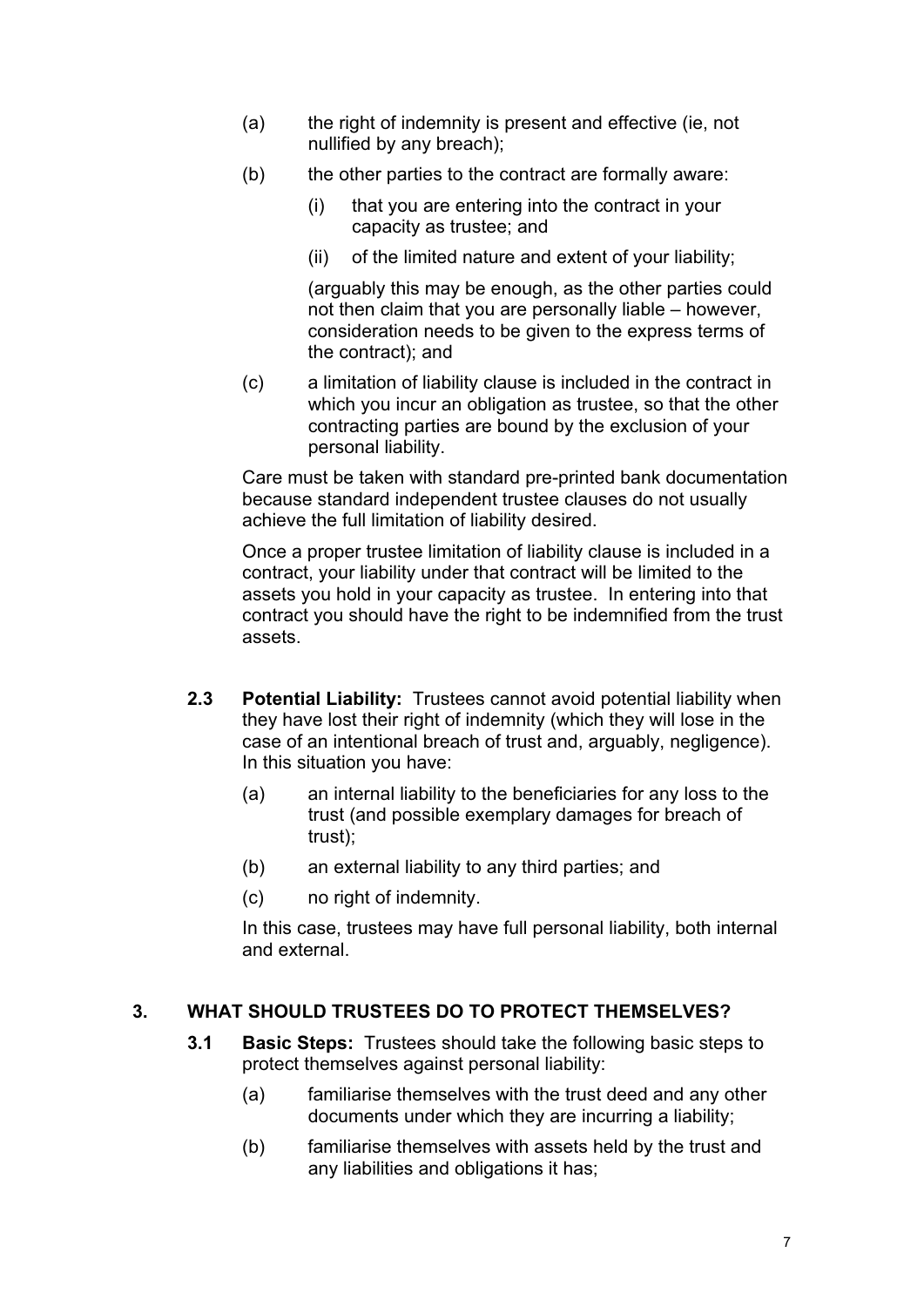- (a) the right of indemnity is present and effective (ie, not nullified by any breach);
- (b) the other parties to the contract are formally aware:
	- (i) that you are entering into the contract in your capacity as trustee; and
	- (ii) of the limited nature and extent of your liability;

(arguably this may be enough, as the other parties could not then claim that you are personally liable – however, consideration needs to be given to the express terms of the contract); and

(c) a limitation of liability clause is included in the contract in which you incur an obligation as trustee, so that the other contracting parties are bound by the exclusion of your personal liability.

Care must be taken with standard pre-printed bank documentation because standard independent trustee clauses do not usually achieve the full limitation of liability desired.

Once a proper trustee limitation of liability clause is included in a contract, your liability under that contract will be limited to the assets you hold in your capacity as trustee. In entering into that contract you should have the right to be indemnified from the trust assets.

- **2.3 Potential Liability:** Trustees cannot avoid potential liability when they have lost their right of indemnity (which they will lose in the case of an intentional breach of trust and, arguably, negligence). In this situation you have:
	- (a) an internal liability to the beneficiaries for any loss to the trust (and possible exemplary damages for breach of trust);
	- (b) an external liability to any third parties; and
	- (c) no right of indemnity.

In this case, trustees may have full personal liability, both internal and external.

## **3. WHAT SHOULD TRUSTEES DO TO PROTECT THEMSELVES?**

- **3.1 Basic Steps:** Trustees should take the following basic steps to protect themselves against personal liability:
	- (a) familiarise themselves with the trust deed and any other documents under which they are incurring a liability;
	- (b) familiarise themselves with assets held by the trust and any liabilities and obligations it has;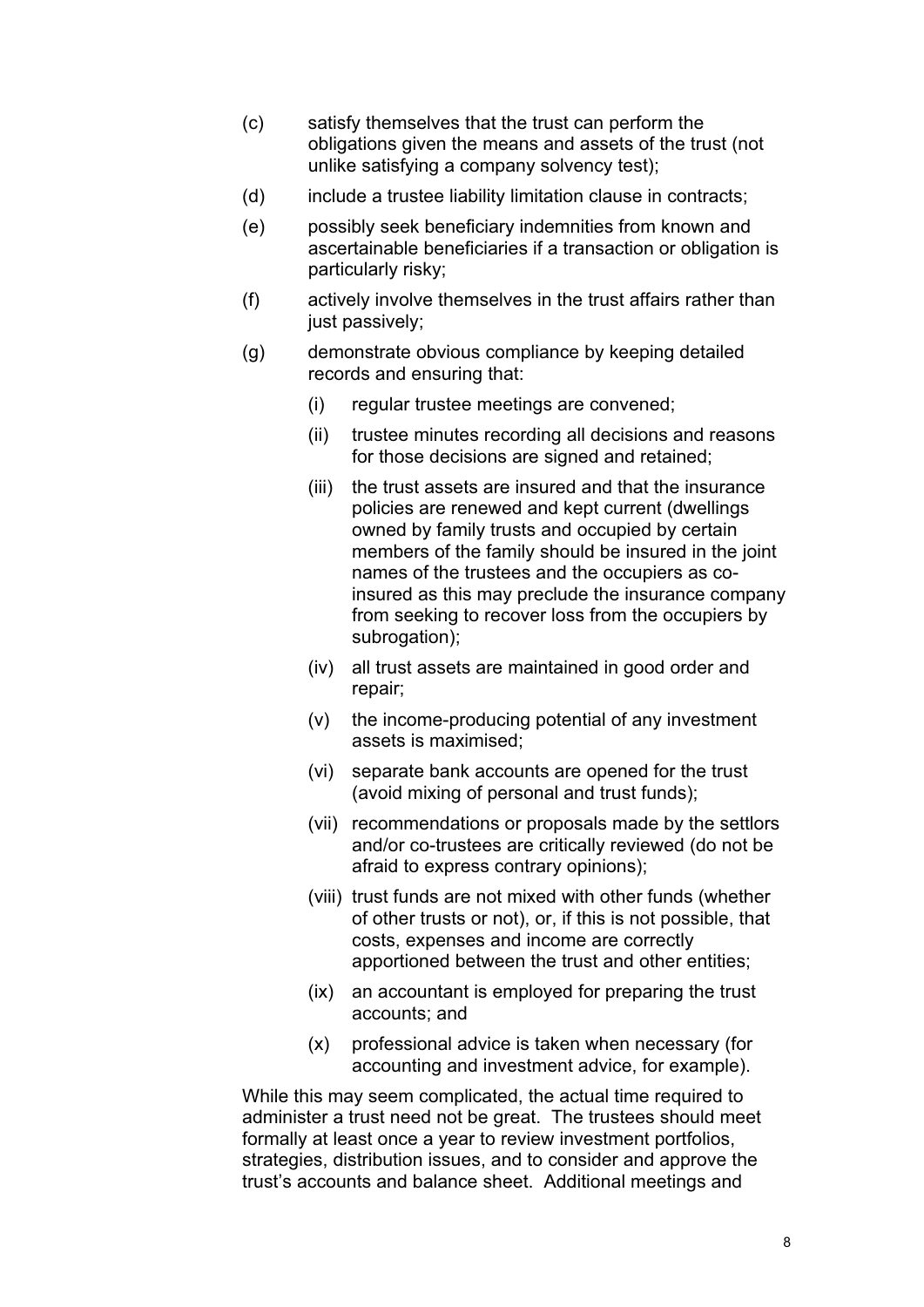- (c) satisfy themselves that the trust can perform the obligations given the means and assets of the trust (not unlike satisfying a company solvency test);
- (d) include a trustee liability limitation clause in contracts;
- (e) possibly seek beneficiary indemnities from known and ascertainable beneficiaries if a transaction or obligation is particularly risky;
- (f) actively involve themselves in the trust affairs rather than just passively;
- (g) demonstrate obvious compliance by keeping detailed records and ensuring that:
	- (i) regular trustee meetings are convened;
	- (ii) trustee minutes recording all decisions and reasons for those decisions are signed and retained;
	- (iii) the trust assets are insured and that the insurance policies are renewed and kept current (dwellings owned by family trusts and occupied by certain members of the family should be insured in the joint names of the trustees and the occupiers as coinsured as this may preclude the insurance company from seeking to recover loss from the occupiers by subrogation);
	- (iv) all trust assets are maintained in good order and repair;
	- (v) the income-producing potential of any investment assets is maximised;
	- (vi) separate bank accounts are opened for the trust (avoid mixing of personal and trust funds);
	- (vii) recommendations or proposals made by the settlors and/or co-trustees are critically reviewed (do not be afraid to express contrary opinions);
	- (viii) trust funds are not mixed with other funds (whether of other trusts or not), or, if this is not possible, that costs, expenses and income are correctly apportioned between the trust and other entities;
	- (ix) an accountant is employed for preparing the trust accounts; and
	- (x) professional advice is taken when necessary (for accounting and investment advice, for example).

While this may seem complicated, the actual time required to administer a trust need not be great. The trustees should meet formally at least once a year to review investment portfolios, strategies, distribution issues, and to consider and approve the trust's accounts and balance sheet. Additional meetings and